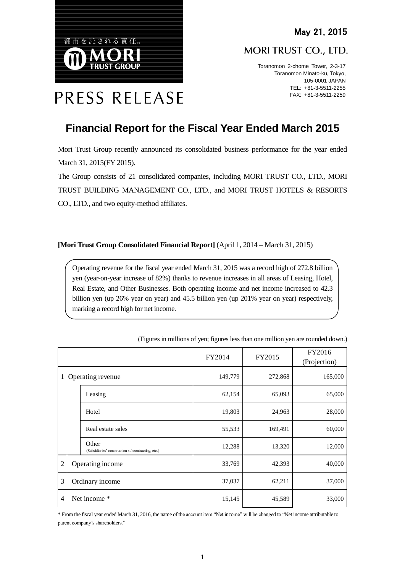MORI TRUST CO., LTD.

Toranomon 2-chome Tower, 2-3-17 Toranomon Minato-ku, Tokyo, 105-0001 JAPAN TEL: +81-3-5511-2255 FAX: +81-3-5511-2259

# PRESS RELEASE

都市を託される責任。

# **Financial Report for the Fiscal Year Ended March 2015**

Mori Trust Group recently announced its consolidated business performance for the year ended March 31, 2015(FY 2015).

The Group consists of 21 consolidated companies, including MORI TRUST CO., LTD., MORI TRUST BUILDING MANAGEMENT CO., LTD., and MORI TRUST HOTELS & RESORTS CO., LTD., and two equity-method affiliates.

### **[Mori Trust Group Consolidated Financial Report]** (April 1, 2014 – March 31, 2015)

Operating revenue for the fiscal year ended March 31, 2015 was a record high of 272.8 billion yen (year-on-year increase of 82%) thanks to revenue increases in all areas of Leasing, Hotel, Real Estate, and Other Businesses. Both operating income and net income increased to 42.3 billion yen (up 26% year on year) and 45.5 billion yen (up 201% year on year) respectively, marking a record high for net income.

|                     |  |                                                            | FY2014  | FY2015  | FY2016<br>(Projection) |
|---------------------|--|------------------------------------------------------------|---------|---------|------------------------|
| 1 Operating revenue |  |                                                            | 149,779 | 272,868 | 165,000                |
|                     |  | Leasing                                                    | 62,154  | 65,093  | 65,000                 |
|                     |  | Hotel                                                      | 19,803  | 24,963  | 28,000                 |
|                     |  | Real estate sales                                          | 55,533  | 169,491 | 60,000                 |
|                     |  | Other<br>(Subsidiaries' construction subcontracting, etc.) | 12,288  | 13,320  | 12,000                 |
| $\overline{2}$      |  | Operating income                                           | 33,769  | 42,393  | 40,000                 |
| 3                   |  | Ordinary income                                            | 37,037  | 62,211  | 37,000                 |
| $\overline{4}$      |  | Net income *                                               | 15,145  | 45,589  | 33,000                 |

(Figures in millions of yen; figures less than one million yen are rounded down.)

\* From the fiscal year ended March 31, 2016, the name of the account item "Net income" will be changed to "Net income attributable to parent company's shareholders."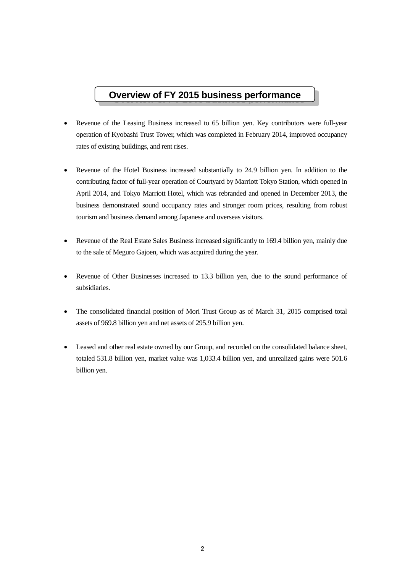# **Overview of FY 2015 business performance**

- Revenue of the Leasing Business increased to 65 billion yen. Key contributors were full-year operation of Kyobashi Trust Tower, which was completed in February 2014, improved occupancy rates of existing buildings, and rent rises.
- Revenue of the Hotel Business increased substantially to 24.9 billion yen. In addition to the contributing factor of full-year operation of Courtyard by Marriott Tokyo Station, which opened in April 2014, and Tokyo Marriott Hotel, which was rebranded and opened in December 2013, the business demonstrated sound occupancy rates and stronger room prices, resulting from robust tourism and business demand among Japanese and overseas visitors.
- Revenue of the Real Estate Sales Business increased significantly to 169.4 billion yen, mainly due to the sale of Meguro Gajoen, which was acquired during the year.
- Revenue of Other Businesses increased to 13.3 billion yen, due to the sound performance of subsidiaries.
- The consolidated financial position of Mori Trust Group as of March 31, 2015 comprised total assets of 969.8 billion yen and net assets of 295.9 billion yen.
- Leased and other real estate owned by our Group, and recorded on the consolidated balance sheet, totaled 531.8 billion yen, market value was 1,033.4 billion yen, and unrealized gains were 501.6 billion yen.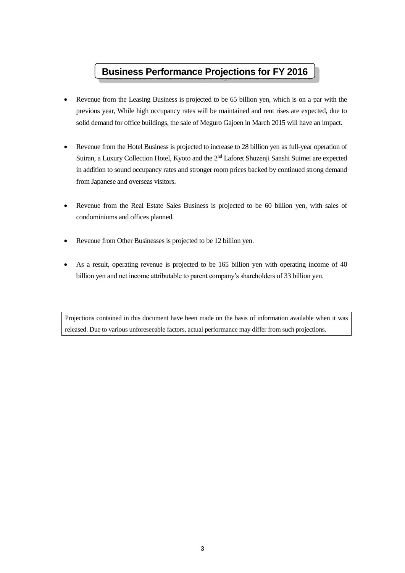# **Business Performance Projections for FY 2016**

- Revenue from the Leasing Business is projected to be 65 billion yen, which is on a par with the previous year, While high occupancy rates will be maintained and rent rises are expected, due to solid demand for office buildings, the sale of Meguro Gajoen in March 2015 will have an impact.
- Revenue from the Hotel Business is projected to increase to 28 billion yen as full-year operation of Suiran, a Luxury Collection Hotel, Kyoto and the 2<sup>nd</sup> Laforet Shuzenji Sanshi Suimei are expected in addition to sound occupancy rates and stronger room prices backed by continued strong demand from Japanese and overseas visitors.
- Revenue from the Real Estate Sales Business is projected to be 60 billion yen, with sales of condominiums and offices planned.
- Revenue from Other Businesses is projected to be 12 billion yen.
- As a result, operating revenue is projected to be 165 billion yen with operating income of 40 billion yen and net income attributable to parent company's shareholders of 33 billion yen.

Projections contained in this document have been made on the basis of information available when it was released. Due to various unforeseeable factors, actual performance may differ from such projections.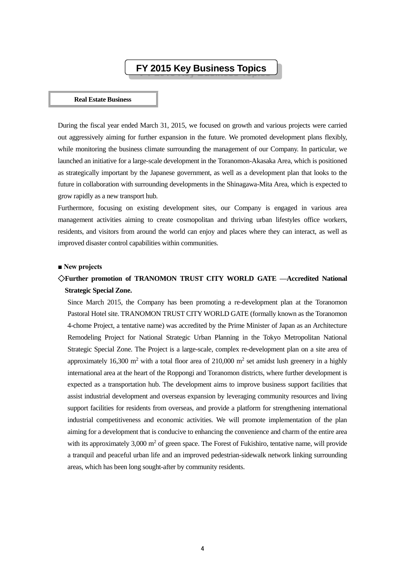# **FY 2015 Key Business Topics**

#### **Real Estate Business**

During the fiscal year ended March 31, 2015, we focused on growth and various projects were carried out aggressively aiming for further expansion in the future. We promoted development plans flexibly, while monitoring the business climate surrounding the management of our Company. In particular, we launched an initiative for a large-scale development in the Toranomon-Akasaka Area, which is positioned as strategically important by the Japanese government, as well as a development plan that looks to the future in collaboration with surrounding developments in the Shinagawa-Mita Area, which is expected to grow rapidly as a new transport hub.

Furthermore, focusing on existing development sites, our Company is engaged in various area management activities aiming to create cosmopolitan and thriving urban lifestyles office workers, residents, and visitors from around the world can enjoy and places where they can interact, as well as improved disaster control capabilities within communities.

#### **■ New projects**

# ◇**Further promotion of TRANOMON TRUST CITY WORLD GATE —Accredited National Strategic Special Zone.**

Since March 2015, the Company has been promoting a re-development plan at the Toranomon Pastoral Hotel site. TRANOMON TRUST CITY WORLD GATE (formally known as the Toranomon 4-chome Project, a tentative name) was accredited by the Prime Minister of Japan as an Architecture Remodeling Project for National Strategic Urban Planning in the Tokyo Metropolitan National Strategic Special Zone. The Project is a large-scale, complex re-development plan on a site area of approximately 16,300 m<sup>2</sup> with a total floor area of 210,000 m<sup>2</sup> set amidst lush greenery in a highly international area at the heart of the Roppongi and Toranomon districts, where further development is expected as a transportation hub. The development aims to improve business support facilities that assist industrial development and overseas expansion by leveraging community resources and living support facilities for residents from overseas, and provide a platform for strengthening international industrial competitiveness and economic activities. We will promote implementation of the plan aiming for a development that is conducive to enhancing the convenience and charm of the entire area with its approximately  $3,000 \text{ m}^2$  of green space. The Forest of Fukishiro, tentative name, will provide a tranquil and peaceful urban life and an improved pedestrian-sidewalk network linking surrounding areas, which has been long sought-after by community residents.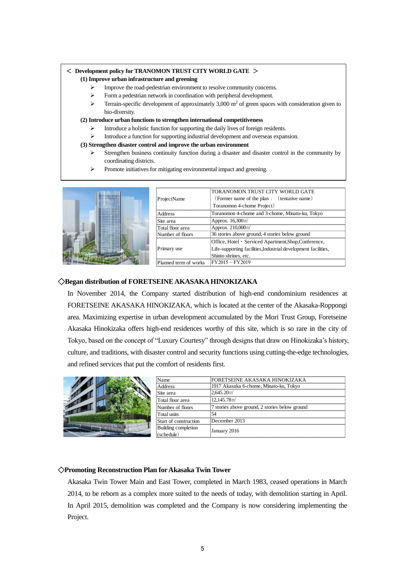#### < **Development policy for TRANOMON TRUST CITY WORLD GATE** >

#### **(1) Improve urban infrastructure and greening**

- Improve the road-pedestrian environment to resolve community concerns.
- Form a pedestrian network in coordination with peripheral development.
- $\triangleright$  Terrain-specific development of approximately 3,000 m<sup>2</sup> of green spaces with consideration given to bio-diversity.

#### **(2) Introduce urban functions to strengthen international competitiveness**

- Introduce a holistic function for supporting the daily lives of foreign residents.
- Introduce a function for supporting industrial development and overseas expansion.

#### **(3) Strengthen disaster control and improve the urban environment**

- Strengthen business continuity function during a disaster and disaster control in the community by coordinating districts.
- Promote initiatives for mitigating environmental impact and greening.



| ProjectName           | 'TORANOMON TRUST CITY WORLD GATE<br>(Former name of the plan : (tentative name) |
|-----------------------|---------------------------------------------------------------------------------|
|                       | Toranomon 4-chome Project)                                                      |
| Address               | Toranomon 4-chome and 3-chome, Minato-ku, Tokyo                                 |
| Site area             | Approx. 16,300m <sup>2</sup>                                                    |
| Total floor area      | Approx. 210,000m <sup>2</sup>                                                   |
| Number of floors      | 36 stories above ground, 4 stories below ground                                 |
|                       | Office, Hotel • Serviced Apartment, Shop, Conference,                           |
| Primary use           | Life-supporting facilities, Industrial development facilities,                  |
|                       | Shinto shrines, etc.                                                            |
| Planned term of works | $FY2015 - FY2019$                                                               |

#### ◇**Began distribution of FORETSEINE AKASAKAHINOKIZAKA**

In November 2014, the Company started distribution of high-end condominium residences at FORETSEINE AKASAKA HINOKIZAKA, which is located at the center of the Akasaka-Roppongi area. Maximizing expertise in urban development accumulated by the Mori Trust Group, Foretseine Akasaka Hinokizaka offers high-end residences worthy of this site, which is so rare in the city of Tokyo, based on the concept of "Luxury Courtesy" through designs that draw on Hinokizaka's history, culture, and traditions, with disaster control and security functions using cutting-the-edge technologies, and refined services that put the comfort of residents first.



| Name!                             | FORETSEINE AKASAKA HINOKIZAKA                  |  |
|-----------------------------------|------------------------------------------------|--|
| <b>Address</b>                    | 1917 Akasaka 6-chome, Minato-ku, Tokyo         |  |
| Site area                         | $2.645.20$ m <sup>2</sup>                      |  |
| Total floor area                  | $12.145.78$ m <sup>2</sup>                     |  |
| Number of floors                  | 7 stories above ground, 2 stories below ground |  |
| Total units                       |                                                |  |
| Start of construction             | December 2013                                  |  |
| Building completion<br>(schedule) | January 2016                                   |  |

#### ◇**Promoting Reconstruction Plan for Akasaka Twin Tower**

Akasaka Twin Tower Main and East Tower, completed in March 1983, ceased operations in March 2014, to be reborn as a complex more suited to the needs of today, with demolition starting in April. In April 2015, demolition was completed and the Company is now considering implementing the Project.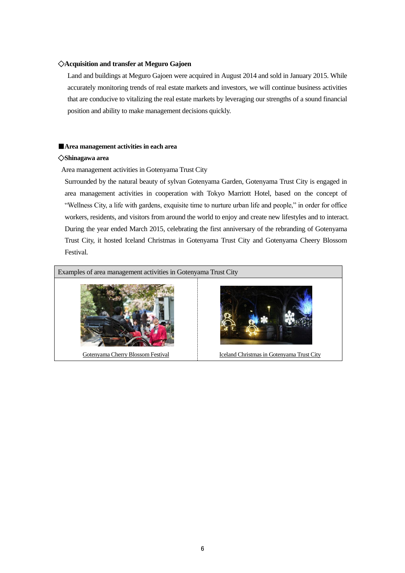#### ◇**Acquisition and transfer at Meguro Gajoen**

Land and buildings at Meguro Gajoen were acquired in August 2014 and sold in January 2015. While accurately monitoring trends of real estate markets and investors, we will continue business activities that are conducive to vitalizing the real estate markets by leveraging our strengths of a sound financial position and ability to make management decisions quickly.

#### ■**Area management activities in each area**

#### ◇**Shinagawa area**

Area management activities in Gotenyama Trust City

Surrounded by the natural beauty of sylvan Gotenyama Garden, Gotenyama Trust City is engaged in area management activities in cooperation with Tokyo Marriott Hotel, based on the concept of "Wellness City, a life with gardens, exquisite time to nurture urban life and people," in order for office workers, residents, and visitors from around the world to enjoy and create new lifestyles and to interact. During the year ended March 2015, celebrating the first anniversary of the rebranding of Gotenyama Trust City, it hosted Iceland Christmas in Gotenyama Trust City and Gotenyama Cheery Blossom Festival.

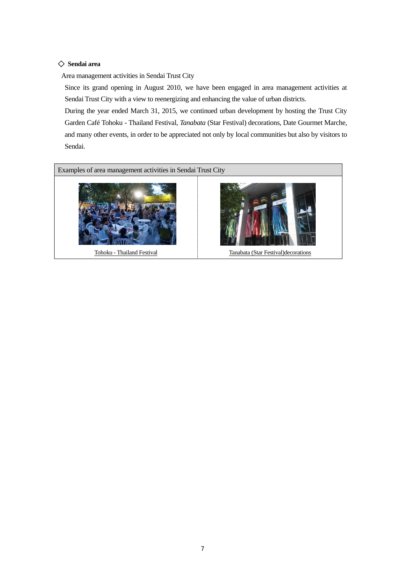#### ◇ **Sendai area**

Area management activities in Sendai Trust City

Since its grand opening in August 2010, we have been engaged in area management activities at Sendai Trust City with a view to reenergizing and enhancing the value of urban districts.

During the year ended March 31, 2015, we continued urban development by hosting the Trust City Garden Café Tohoku - Thailand Festival, *Tanabata* (Star Festival) decorations, Date Gourmet Marche, and many other events, in order to be appreciated not only by local communities but also by visitors to Sendai.

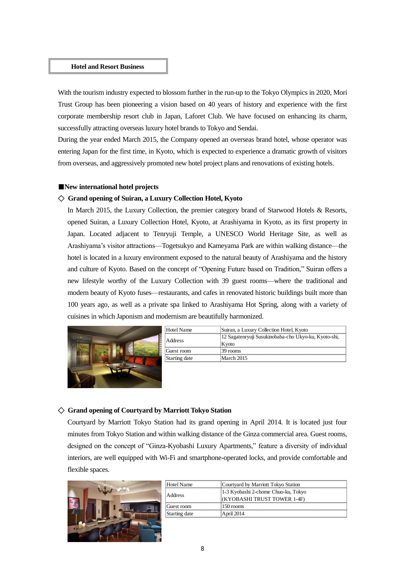#### **Hotel and Resort Business**

With the tourism industry expected to blossom further in the run-up to the Tokyo Olympics in 2020, Mori Trust Group has been pioneering a vision based on 40 years of history and experience with the first corporate membership resort club in Japan, Laforet Club. We have focused on enhancing its charm, successfully attracting overseas luxury hotel brands to Tokyo and Sendai.

During the year ended March 2015, the Company opened an overseas brand hotel, whose operator was entering Japan for the first time, in Kyoto, which is expected to experience a dramatic growth of visitors from overseas, and aggressively promoted new hotel project plans and renovations of existing hotels.

#### ■**New international hotel projects**

#### ◇ **Grand opening of Suiran, a Luxury Collection Hotel, Kyoto**

In March 2015, the Luxury Collection, the premier category brand of Starwood Hotels & Resorts, opened Suiran, a Luxury Collection Hotel, Kyoto, at Arashiyama in Kyoto, as its first property in Japan. Located adjacent to Tenryuji Temple, a UNESCO World Heritage Site, as well as Arashiyama's visitor attractions—Togetsukyo and Kameyama Park are within walking distance—the hotel is located in a luxury environment exposed to the natural beauty of Arashiyama and the history and culture of Kyoto. Based on the concept of "Opening Future based on Tradition," Suiran offers a new lifestyle worthy of the Luxury Collection with 39 guest rooms—where the traditional and modern beauty of Kyoto fuses—restaurants, and cafes in renovated historic buildings built more than 100 years ago, as well as a private spa linked to Arashiyama Hot Spring, along with a variety of cuisines in which Japonism and modernism are beautifully harmonized.



| Hotel Name    | Suiran, a Luxury Collection Hotel, Kyoto             |  |
|---------------|------------------------------------------------------|--|
|               | 12 Sagatenryuji Susukinobaba-cho Ukyo-ku, Kyoto-shi, |  |
| Address       | Kvoto                                                |  |
| Guest room    | 39 rooms                                             |  |
| Starting date | March 2015                                           |  |

#### ◇ **Grand opening of Courtyard by Marriott Tokyo Station**

Courtyard by Marriott Tokyo Station had its grand opening in April 2014. It is located just four minutes from Tokyo Station and within walking distance of the Ginza commercial area. Guest rooms, designed on the concept of "Ginza-Kyobashi Luxury Apartments," feature a diversity of individual interiors, are well equipped with Wi-Fi and smartphone-operated locks, and provide comfortable and flexible spaces.



| Hotel Name    | Courtyard by Marriott Tokyo Station |
|---------------|-------------------------------------|
| Address       | 1-3 Kyobashi 2-chome Chuo-ku, Tokyo |
|               | (KYOBASHI TRUST TOWER 1-4F)         |
| Guest room    | 150 rooms                           |
| Starting date | April 2014                          |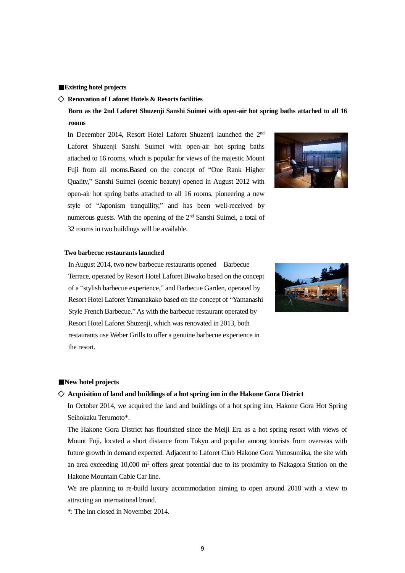#### ■**Existing hotel projects**

#### ◇ **Renovation of Laforet Hotels & Resorts facilities**

**Born as the 2nd Laforet Shuzenji Sanshi Suimei with open-air hot spring baths attached to all 16 rooms**

In December 2014, Resort Hotel Laforet Shuzenji launched the 2<sup>nd</sup> Laforet Shuzenji Sanshi Suimei with open-air hot spring baths attached to 16 rooms, which is popular for views of the majestic Mount Fuji from all rooms.Based on the concept of "One Rank Higher Quality," Sanshi Suimei (scenic beauty) opened in August 2012 with open-air hot spring baths attached to all 16 rooms, pioneering a new style of "Japonism tranquility," and has been well-received by numerous guests. With the opening of the 2nd Sanshi Suimei, a total of 32 rooms in two buildings will be available.



#### **Two barbecue restaurants launched**



In August 2014, two new barbecue restaurants opened—Barbecue Terrace, operated by Resort Hotel Laforet Biwako based on the concept of a "stylish barbecue experience," and Barbecue Garden, operated by Resort Hotel Laforet Yamanakako based on the concept of "Yamanashi Style French Barbecue." As with the barbecue restaurant operated by Resort Hotel Laforet Shuzenji, which was renovated in 2013, both restaurants use Weber Grills to offer a genuine barbecue experience in the resort.

#### ■**New hotel projects**

#### ◇ **Acquisition of land and buildings of a hot spring inn in the Hakone Gora District**

In October 2014, we acquired the land and buildings of a hot spring inn, Hakone Gora Hot Spring Seihokaku Terumoto\*.

The Hakone Gora District has flourished since the Meiji Era as a hot spring resort with views of Mount Fuji, located a short distance from Tokyo and popular among tourists from overseas with future growth in demand expected. Adjacent to Laforet Club Hakone Gora Yunosumika, the site with an area exceeding 10,000 m<sup>2</sup> offers great potential due to its proximity to Nakagora Station on the Hakone Mountain Cable Car line.

We are planning to re-build luxury accommodation aiming to open around 2018 with a view to attracting an international brand.

\*: The inn closed in November 2014.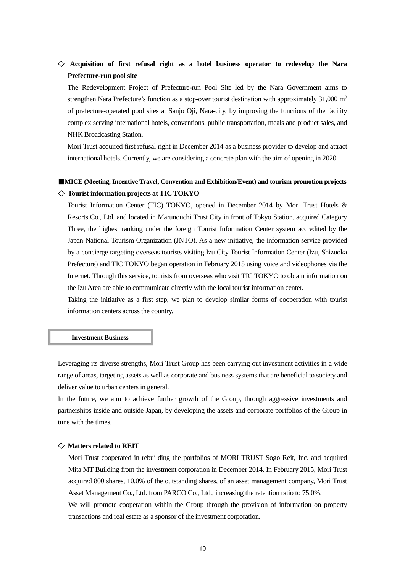# ◇ **Acquisition of first refusal right as a hotel business operator to redevelop the Nara Prefecture-run pool site**

The Redevelopment Project of Prefecture-run Pool Site led by the Nara Government aims to strengthen Nara Prefecture's function as a stop-over tourist destination with approximately 31,000 m<sup>2</sup> of prefecture-operated pool sites at Sanjo Oji, Nara-city, by improving the functions of the facility complex serving international hotels, conventions, public transportation, meals and product sales, and NHK Broadcasting Station.

Mori Trust acquired first refusal right in December 2014 as a business provider to develop and attract international hotels. Currently, we are considering a concrete plan with the aim of opening in 2020.

## ■**MICE** (Meeting, Incentive Travel, Convention and Exhibition/Event) and tourism promotion projects ◇ **Tourist information projects at TIC TOKYO**

Tourist Information Center (TIC) TOKYO, opened in December 2014 by Mori Trust Hotels & Resorts Co., Ltd. and located in Marunouchi Trust City in front of Tokyo Station, acquired Category Three, the highest ranking under the foreign Tourist Information Center system accredited by the Japan National Tourism Organization (JNTO). As a new initiative, the information service provided by a concierge targeting overseas tourists visiting Izu City Tourist Information Center (Izu, Shizuoka Prefecture) and TIC TOKYO began operation in February 2015 using voice and videophones via the Internet. Through this service, tourists from overseas who visit TIC TOKYO to obtain information on the Izu Area are able to communicate directly with the local tourist information center.

Taking the initiative as a first step, we plan to develop similar forms of cooperation with tourist information centers across the country.

#### **Investment Business**

Leveraging its diverse strengths, Mori Trust Group has been carrying out investment activities in a wide range of areas, targeting assets as well as corporate and business systems that are beneficial to society and deliver value to urban centers in general.

In the future, we aim to achieve further growth of the Group, through aggressive investments and partnerships inside and outside Japan, by developing the assets and corporate portfolios of the Group in tune with the times.

#### ◇ **Matters related to REIT**

Mori Trust cooperated in rebuilding the portfolios of MORI TRUST Sogo Reit, Inc. and acquired Mita MT Building from the investment corporation in December 2014. In February 2015, Mori Trust acquired 800 shares, 10.0% of the outstanding shares, of an asset management company, Mori Trust Asset Management Co., Ltd. from PARCO Co., Ltd., increasing the retention ratio to 75.0%.

We will promote cooperation within the Group through the provision of information on property transactions and real estate as a sponsor of the investment corporation.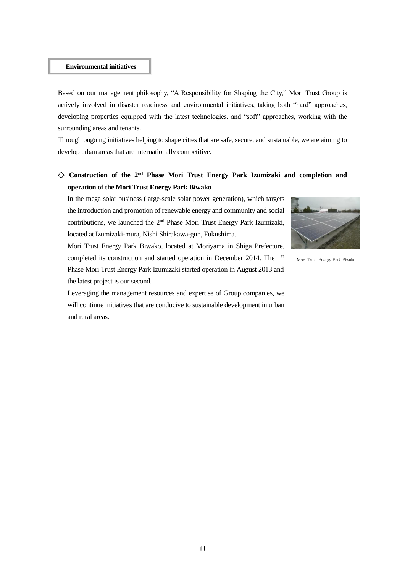#### **Environmental initiatives**

Based on our management philosophy, "A Responsibility for Shaping the City," Mori Trust Group is actively involved in disaster readiness and environmental initiatives, taking both "hard" approaches, developing properties equipped with the latest technologies, and "soft" approaches, working with the surrounding areas and tenants.

Through ongoing initiatives helping to shape cities that are safe, secure, and sustainable, we are aiming to develop urban areas that are internationally competitive.

# ◇ **Construction of the 2nd Phase Mori Trust Energy Park Izumizaki and completion and operation of the Mori Trust Energy Park Biwako**

In the mega solar business (large-scale solar power generation), which targets the introduction and promotion of renewable energy and community and social contributions, we launched the 2nd Phase Mori Trust Energy Park Izumizaki, located at Izumizaki-mura, Nishi Shirakawa-gun, Fukushima.



Mori Trust Energy Park Biwako

Mori Trust Energy Park Biwako, located at Moriyama in Shiga Prefecture, completed its construction and started operation in December 2014. The 1<sup>st</sup> Phase Mori Trust Energy Park Izumizaki started operation in August 2013 and the latest project is our second.

Leveraging the management resources and expertise of Group companies, we will continue initiatives that are conducive to sustainable development in urban and rural areas.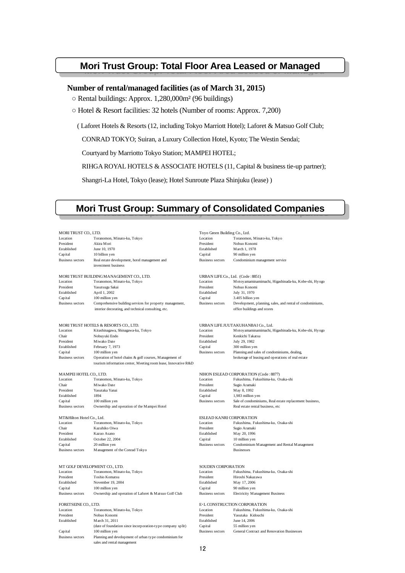# **Mori Trust Group: Total Floor Area Leased or Managed**

#### **Number of rental/managed facilities (as of March 31, 2015)**

○ Rental buildings: Approx. 1,280,000m² (96 buildings)

○ Hotel & Resort facilities: 32 hotels (Number of rooms: Approx. 7,200)

( Laforet Hotels & Resorts (12, including Tokyo Marriott Hotel); Laforet & Matsuo Golf Club;

CONRAD TOKYO; Suiran, a Luxury Collection Hotel, Kyoto; The Westin Sendai;

Courtyard by Marriotto Tokyo Station; MAMPEI HOTEL;

RIHGA ROYAL HOTELS & ASSOCIATE HOTELS (11, Capital & business tie-up partner);

Shangri-La Hotel, Tokyo (lease); Hotel Sunroute Plaza Shinjuku (lease) )

# **Mori Trust Group: Summary of Consolidated Companies**

| MORI TRUST CO., LTD.          |                                                                                       | Toyo Green Building Co., Ltd.     |                                                           |
|-------------------------------|---------------------------------------------------------------------------------------|-----------------------------------|-----------------------------------------------------------|
| Location                      | Toranomon, Minato-ku, Tokyo                                                           | Location                          | Toranomon, Minato-ku, Tokyo                               |
| President                     | Akira Mori                                                                            | President                         | Nobuo Konomi                                              |
| Established                   | June 10, 1970                                                                         | Established                       | March 1, 1978                                             |
| Capital                       | 10 billion yen                                                                        | Capital                           | 90 million yen                                            |
| <b>Business sectors</b>       | Real estate development, hotel management and                                         | <b>Business sectors</b>           | Condominium management service                            |
|                               | investment business                                                                   |                                   |                                                           |
|                               | MORI TRUST BUILDING MANAGEMENT CO., LTD.                                              | URBAN LIFE Co., Ltd. (Code: 8851) |                                                           |
| Location                      | Toranomon, Minato-ku, Tokyo                                                           | Location                          | Motoyamaminamimachi, Higashinada-ku, Kobe-shi, Hyogo      |
| President                     | Yasutsugu Sakai                                                                       | President                         | Nobuo Konomi                                              |
| Established                   | April 1, 2002                                                                         | Established                       | July 31, 1970                                             |
| Capital                       | 100 million yen                                                                       | Capital                           | 3.405 billion yen                                         |
| <b>Business sectors</b>       | Comprehensive building services for property management,                              | <b>Business sectors</b>           | Development, planning, sales, and rental of condominiums, |
|                               | interior decorating, and technical consulting, etc.                                   |                                   | office buildings and stores                               |
|                               | MORI TRUST HOTELS & RESORTS CO., LTD.                                                 |                                   | URBAN LIFE JUUTAKUHANBAI Co., Ltd.                        |
| Location                      | Kitashinagawa, Shinagawa-ku, Tokyo                                                    | Location                          | Motoyamaminamimachi, Higashinada-ku, Kobe-shi, Hyogo      |
| Chair                         | Nobuyuki Endo                                                                         | President                         | Kenkichi Takatsu                                          |
| President                     | Miwako Date                                                                           | Established                       | July 29, 1982                                             |
| Established                   | February 7, 1973                                                                      | Capital                           | 300 million yen                                           |
| Capital                       | 100 million yen                                                                       | <b>Business sectors</b>           | Planning and sales of condominiums, dealing,              |
| <b>Business sectors</b>       | Operation of hotel chains & golf courses, Management of                               |                                   | brokerage of leasing and operations of real estate        |
|                               | tourism information center, Meeting room lease, Innovative R&D                        |                                   |                                                           |
|                               |                                                                                       |                                   |                                                           |
| MAMPEI HOTEL CO., LTD.        |                                                                                       |                                   | NIHON ESLEAD CORPORATION (Code: 8877)                     |
| Location                      | Toranomon, Minato-ku, Tokyo                                                           | Location                          | Fukushima, Fukushima-ku, Osaka-shi                        |
| Chair                         | Miwako Date                                                                           | President                         | Sugio Aramaki                                             |
| President                     | Yasutaka Yanai                                                                        | Established                       | May 8, 1992                                               |
| Established                   | 1894                                                                                  | Capital                           | 1,983 million yen                                         |
| Capital                       | 100 million yen                                                                       | <b>Business sectors</b>           | Sale of condominiums, Real estate replacement business,   |
| <b>Business sectors</b>       | Ownership and operation of the Mampei Hotel                                           |                                   | Real estate rental business, etc                          |
| MT&Hilton Hotel Co., Ltd.     |                                                                                       | <b>ESLEAD KANRI CORPORATION</b>   |                                                           |
| Location                      | Toranomon, Minato-ku, Tokyo                                                           | Location                          | Fukushima, Fukushima-ku, Osaka-shi                        |
| Chair                         | Kazuhiko Oiwa                                                                         | President                         | Sugio Aramaki                                             |
| President                     | Kazuo Asano                                                                           | Established                       | May 20, 1996                                              |
| Established                   | October 22, 2004                                                                      | Capital                           | 10 million yen                                            |
| Capital                       | 20 million yen                                                                        | <b>Business sectors</b>           | Condominium M anagement and Rental M anagement            |
| <b>Business sectors</b>       | Management of the Conrad Tokyo                                                        |                                   | <b>Businesses</b>                                         |
| MT GOLF DEVELOPMENT CO., LTD. |                                                                                       | SOUDEN CORPORATION                |                                                           |
| Location                      | Toranomon, Minato-ku, Tokyo                                                           | Location                          | Fukushima, Fukushima-ku, Osaka-shi                        |
| President                     | Toshio Komatsu                                                                        | President                         | Hiroshi Nakazawa                                          |
| Established                   | November 19, 2004                                                                     | Established                       | May 17, 2006                                              |
| Capital                       | 100 million yen                                                                       | Capital                           | 90 million yen                                            |
| <b>Business sectors</b>       | Ownership and operation of Laforet & Matsuo Golf Club                                 | <b>Business sectors</b>           | Electricity Management Business                           |
|                               |                                                                                       |                                   |                                                           |
| FORETSEINE CO., LTD.          |                                                                                       |                                   | E-L CONSTRUCTION CORPORATION                              |
| Location                      | Toranomon, Minato-ku, Tokyo                                                           | Location                          | Fukushima, Fukushima-ku, Osaka-shi                        |
| President                     | Nobuo Konomi                                                                          | President                         | Yasutaka Kidouchi                                         |
| Established                   | March 31, 2011                                                                        | Established                       | June 14, 2006                                             |
|                               | (date of foundation since incorporation-type company split)                           | Capital                           | 55 million yen                                            |
| Capital                       | 100 million yen                                                                       | <b>Business sectors</b>           | General Contract and Renovation Businesses                |
| <b>Business sectors</b>       | Planning and development of urban type condominium for<br>sales and rental management |                                   |                                                           |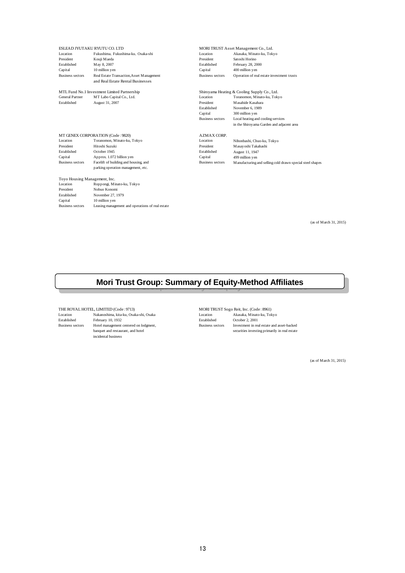|                               | ESLEAD JYUTAKU RYUTU CO. LTD                     |                         | MORI TRUST Asset Management Co., Ltd.                     |
|-------------------------------|--------------------------------------------------|-------------------------|-----------------------------------------------------------|
| Location                      | Fukushima, Fukushima-ku, Osaka-shi               | Location                | Akasaka, Minato-ku, Tokyo                                 |
| President                     | Kouji Maeda                                      | President               | Satoshi Horino                                            |
| Established                   | May 8, 2007                                      | Established             | February 28, 2000                                         |
| Capital                       | 10 million yen                                   | Capital                 | 400 million yen                                           |
| <b>Business sectors</b>       | Real Estate Transaction, Asset Management        | <b>Business sectors</b> | Operation of real estate investment trusts                |
|                               | and Real Estate Rental Businesses                |                         |                                                           |
|                               | MTL Fund No.1 Investment Limited Partnership     |                         | Shiroyama Heating & Cooling Supply Co., Ltd.              |
| <b>General Partner</b>        | MT Labo Capital Co., Ltd.                        | Location                | Toranomon, Minato-ku, Tokyo                               |
| Established                   | August 31, 2007                                  | President               | Masahide Kasahara                                         |
|                               |                                                  | Established             | November 6, 1989                                          |
|                               |                                                  | Capital                 | 300 million yen                                           |
|                               |                                                  | <b>Business sectors</b> | Local heating and cooling services                        |
|                               |                                                  |                         | in the Shiroyama Garden and adjacent area                 |
|                               | MT GENEX CORPORATION (Code: 9820)                | <b>AZMAX CORP.</b>      |                                                           |
| Location                      | Toranomon, Minato-ku, Tokyo                      | Location                | Nihonbashi, Chuo-ku, Tokyo                                |
| President                     | Hitoshi Suzuki                                   | President               | Masayoshi Takahashi                                       |
| Established                   | October 1945                                     | Established             | August 11, 1947                                           |
| Capital                       | Approx. 1.072 billion yen                        | Capital                 | 499 million yen                                           |
| <b>Business sectors</b>       | Facelift of building and housing, and            | <b>Business sectors</b> | Manufacturing and selling cold drawn special steel shapes |
|                               | parking operation management, etc.               |                         |                                                           |
| Toyo Housing Management, Inc. |                                                  |                         |                                                           |
| Location                      | Roppongi, Minato-ku, Tokyo                       |                         |                                                           |
| President                     | Nobuo Konomi                                     |                         |                                                           |
| Established                   | November 27, 1979                                |                         |                                                           |
| Capital                       | 10 million yen                                   |                         |                                                           |
| <b>Business sectors</b>       | Leasing management and operations of real estate |                         |                                                           |

(as of March 31, 2015)

# **Mori Trust Group: Summary of Equity-Method Affiliates**

THE ROYAL HOTEL, LIMITED (Code : 9713) MORI TRUST Sogo Reit, Inc. (Code : 8961)<br>
Location Makanoshima, kita-ku, Osaka-shi, Osaka<br>
Established February 10, 1932 Bstablished Cotober 2, 2001  $\Delta$ Nakanoshima, kita-ku, Osaka-shi, Osaka Established February 10, 1932 Established October 2, 2001 Business sectors Hotel management centered on lodgment, Business sectors Investment in real estate and asset-backed<br>banquet and restaurant, and hotel securities investing primarily in real estate incidental business

(as of March 31, 2015)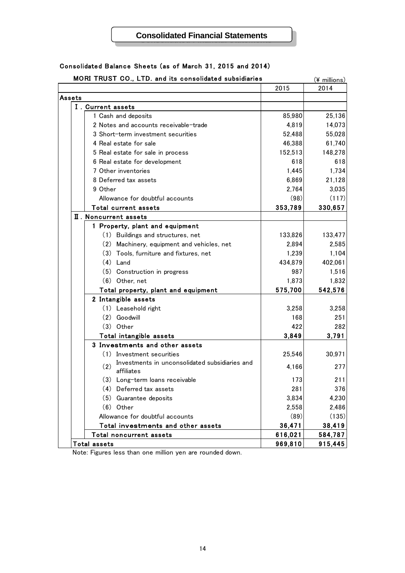## **Consolidated Financial Statements**

| MORI TRUST CO., LTD. and its consolidated subsidiaries              |         | (¥ millions) |
|---------------------------------------------------------------------|---------|--------------|
|                                                                     | 2015    | 2014         |
| Assets                                                              |         |              |
| I. Current assets                                                   |         |              |
| 1 Cash and deposits                                                 | 85,980  | 25,136       |
| 2 Notes and accounts receivable-trade                               | 4,819   | 14,073       |
| 3 Short-term investment securities                                  | 52,488  | 55,028       |
| 4 Real estate for sale                                              | 46,388  | 61,740       |
| 5 Real estate for sale in process                                   | 152,513 | 148,278      |
| 6 Real estate for development                                       | 618     | 618          |
| 7 Other inventories                                                 | 1,445   | 1,734        |
| 8 Deferred tax assets                                               | 6,869   | 21,128       |
| 9 Other                                                             | 2,764   | 3,035        |
| Allowance for doubtful accounts                                     | (98)    | (117)        |
| Total current assets                                                | 353,789 | 330,657      |
| II. Noncurrent assets                                               |         |              |
| 1 Property, plant and equipment                                     |         |              |
| (1) Buildings and structures, net                                   | 133,826 | 133,477      |
| (2) Machinery, equipment and vehicles, net                          | 2,894   | 2,585        |
| (3) Tools, furniture and fixtures, net                              | 1,239   | 1,104        |
| $(4)$ Land                                                          | 434,879 | 402,061      |
| (5) Construction in progress                                        | 987     | 1,516        |
| (6) Other, net                                                      | 1,873   | 1,832        |
| Total property, plant and equipment                                 | 575,700 | 542,576      |
| 2 Intangible assets                                                 |         |              |
| (1) Leasehold right                                                 | 3,258   | 3,258        |
| (2)<br>Goodwill                                                     | 168     | 251          |
| $(3)$ Other                                                         | 422     | 282          |
| Total intangible assets                                             | 3,849   | 3,791        |
| 3 Investments and other assets                                      |         |              |
| (1) Investment securities                                           | 25,546  | 30,971       |
| Investments in unconsolidated subsidiaries and<br>(2)<br>affiliates | 4,166   | 277          |
| (3) Long-term loans receivable                                      | 173     | 211          |
| (4) Deferred tax assets                                             | 281     | 376          |
| (5) Guarantee deposits                                              | 3,834   | 4,230        |
| $(6)$ Other                                                         | 2,558   | 2,486        |
| Allowance for doubtful accounts                                     | (89)    | (135)        |
| Total investments and other assets                                  | 36,471  | 38,419       |
| Total noncurrent assets                                             | 616,021 | 584,787      |
| Total assets                                                        | 969,810 | 915,445      |

#### Consolidated Balance Sheets (as of March 31, 2015 and 2014)

Note: Figures less than one million yen are rounded down.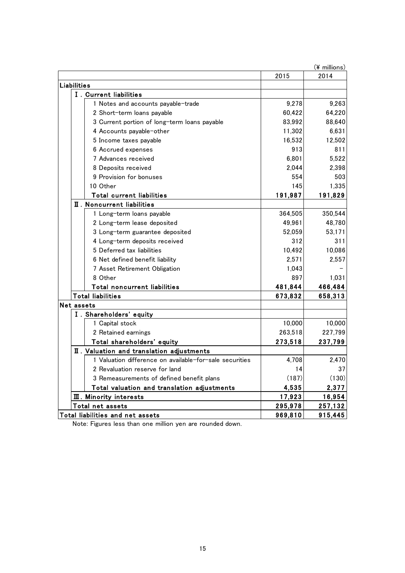| $(*)$ millions)                                         |         |         |
|---------------------------------------------------------|---------|---------|
|                                                         | 2015    | 2014    |
| <b>Liabilities</b>                                      |         |         |
| I. Current liabilities                                  |         |         |
| 1 Notes and accounts payable-trade                      | 9,278   | 9,263   |
| 2 Short-term loans payable                              | 60,422  | 64,220  |
| 3 Current portion of long-term loans payable            | 83,992  | 88,640  |
| 4 Accounts payable-other                                | 11,302  | 6,631   |
| 5 Income taxes payable                                  | 16,532  | 12,502  |
| 6 Accrued expenses                                      | 913     | 811     |
| 7 Advances received                                     | 6,801   | 5,522   |
| 8 Deposits received                                     | 2,044   | 2,398   |
| 9 Provision for bonuses                                 | 554     | 503     |
| 10 Other                                                | 145     | 1,335   |
| Total current liabilities                               | 191,987 | 191,829 |
| $\overline{\mathbf{I}}$ . Noncurrent liabilities        |         |         |
| 1 Long-term loans payable                               | 364,505 | 350,544 |
| 2 Long-term lease deposited                             | 49,961  | 48,780  |
| 3 Long-term guarantee deposited                         | 52,059  | 53,171  |
| 4 Long-term deposits received                           | 312     | 311     |
| 5 Deferred tax liabilities                              | 10,492  | 10,086  |
| 6 Net defined benefit liability                         | 2,571   | 2,557   |
| 7 Asset Retirement Obligation                           | 1,043   |         |
| 8 Other                                                 | 897     | 1,031   |
| Total noncurrent liabilities                            | 481,844 | 466,484 |
| <b>Total liabilities</b>                                | 673,832 | 658,313 |
| Net assets                                              |         |         |
| I. Shareholders' equity                                 |         |         |
| 1 Capital stock                                         | 10,000  | 10,000  |
| 2 Retained earnings                                     | 263,518 | 227,799 |
| Total shareholders' equity                              | 273,518 | 237,799 |
| II. Valuation and translation adjustments               |         |         |
| 1 Valuation difference on available-for-sale securities | 4,708   | 2,470   |
| 2 Revaluation reserve for land                          | 14      | 37      |
| 3 Remeasurements of defined benefit plans               | (187)   | (130)   |
| Total valuation and translation adjustments             | 4,535   | 2,377   |
| <b>III.</b> Minority interests                          | 17,923  | 16,954  |
| Total net assets                                        | 295,978 | 257,132 |
| Total liabilities and net assets                        | 969,810 | 915,445 |

Note: Figures less than one million yen are rounded down.